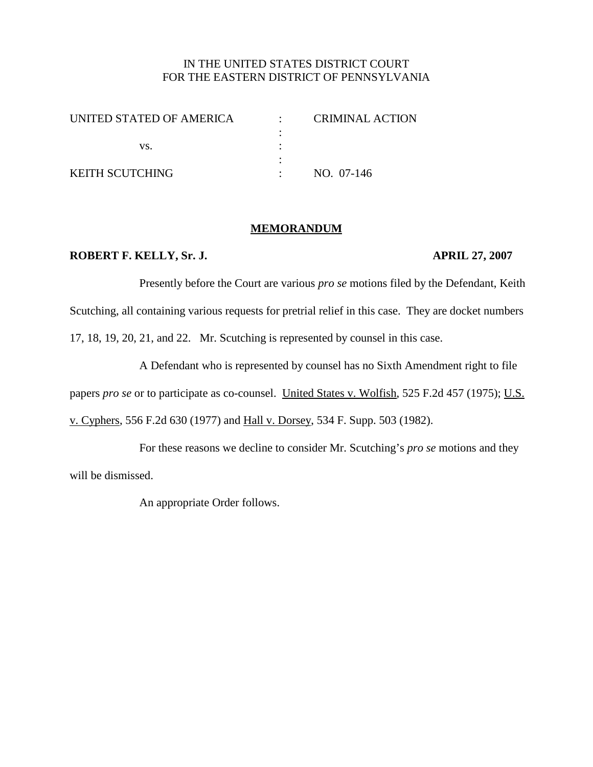# IN THE UNITED STATES DISTRICT COURT FOR THE EASTERN DISTRICT OF PENNSYLVANIA

| UNITED STATED OF AMERICA | CRIMINAL ACTION |
|--------------------------|-----------------|
|                          |                 |
| VS.                      |                 |
|                          |                 |
| <b>KEITH SCUTCHING</b>   | NO. 07-146      |

### **MEMORANDUM**

### **ROBERT F. KELLY, Sr. J. APRIL 27, 2007**

Presently before the Court are various *pro se* motions filed by the Defendant, Keith Scutching, all containing various requests for pretrial relief in this case. They are docket numbers 17, 18, 19, 20, 21, and 22. Mr. Scutching is represented by counsel in this case.

A Defendant who is represented by counsel has no Sixth Amendment right to file papers *pro se* or to participate as co-counsel. United States v. Wolfish, 525 F.2d 457 (1975); U.S. v. Cyphers, 556 F.2d 630 (1977) and Hall v. Dorsey, 534 F. Supp. 503 (1982).

For these reasons we decline to consider Mr. Scutching's *pro se* motions and they will be dismissed.

An appropriate Order follows.